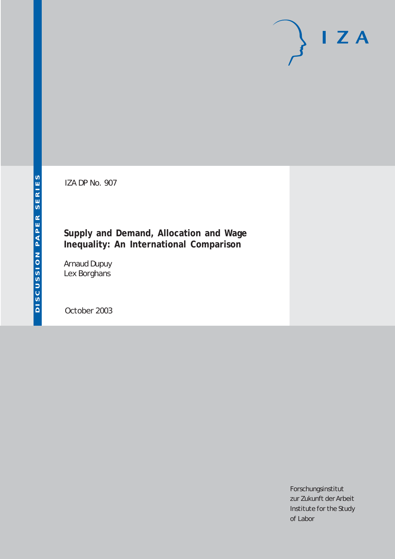# $I Z A$

IZA DP No. 907

# **Supply and Demand, Allocation and Wage Inequality: An International Comparison**

Arnaud Dupuy Lex Borghans

October 2003

Forschungsinstitut zur Zukunft der Arbeit Institute for the Study of Labor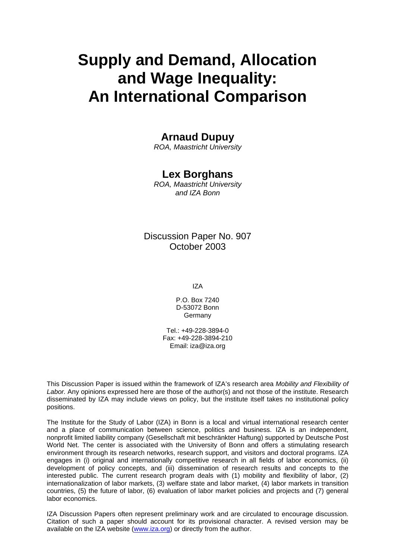# **Supply and Demand, Allocation and Wage Inequality: An International Comparison**

# **Arnaud Dupuy**

*ROA, Maastricht University*

# **Lex Borghans**

*ROA, Maastricht University and IZA Bonn* 

# Discussion Paper No. 907 October 2003

IZA

P.O. Box 7240 D-53072 Bonn Germany

Tel.: +49-228-3894-0 Fax: +49-228-3894-210 Email: [iza@iza.org](mailto:iza@iza.org)

This Discussion Paper is issued within the framework of IZA's research area *Mobility and Flexibility of Labor.* Any opinions expressed here are those of the author(s) and not those of the institute. Research disseminated by IZA may include views on policy, but the institute itself takes no institutional policy positions.

The Institute for the Study of Labor (IZA) in Bonn is a local and virtual international research center and a place of communication between science, politics and business. IZA is an independent, nonprofit limited liability company (Gesellschaft mit beschränkter Haftung) supported by Deutsche Post World Net. The center is associated with the University of Bonn and offers a stimulating research environment through its research networks, research support, and visitors and doctoral programs. IZA engages in (i) original and internationally competitive research in all fields of labor economics, (ii) development of policy concepts, and (iii) dissemination of research results and concepts to the interested public. The current research program deals with (1) mobility and flexibility of labor, (2) internationalization of labor markets, (3) welfare state and labor market, (4) labor markets in transition countries, (5) the future of labor, (6) evaluation of labor market policies and projects and (7) general labor economics.

IZA Discussion Papers often represent preliminary work and are circulated to encourage discussion. Citation of such a paper should account for its provisional character. A revised version may be available on the IZA website ([www.iza.org](http://www.iza.org/)) or directly from the author.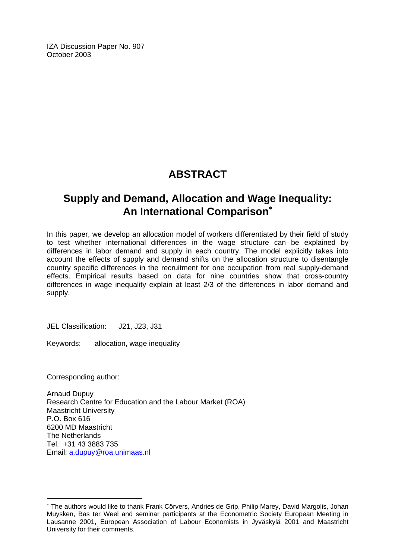IZA Discussion Paper No. 907 October 2003

# **ABSTRACT**

# **Supply and Demand, Allocation and Wage Inequality: An International Comparison**[∗](#page-2-0)

In this paper, we develop an allocation model of workers differentiated by their field of study to test whether international differences in the wage structure can be explained by differences in labor demand and supply in each country. The model explicitly takes into account the effects of supply and demand shifts on the allocation structure to disentangle country specific differences in the recruitment for one occupation from real supply-demand effects. Empirical results based on data for nine countries show that cross-country differences in wage inequality explain at least 2/3 of the differences in labor demand and supply.

JEL Classification: J21, J23, J31

Keywords: allocation, wage inequality

Corresponding author:

 $\overline{a}$ 

Arnaud Dupuy Research Centre for Education and the Labour Market (ROA) Maastricht University P.O. Box 616 6200 MD Maastricht The Netherlands Tel.: +31 43 3883 735 Email: [a.dupuy@roa.unimaas.nl](mailto:a.dupuy@roa.unimaas.nl) 

<span id="page-2-0"></span><sup>∗</sup> The authors would like to thank Frank Cörvers, Andries de Grip, Philip Marey, David Margolis, Johan Muysken, Bas ter Weel and seminar participants at the Econometric Society European Meeting in Lausanne 2001, European Association of Labour Economists in Jyväskylä 2001 and Maastricht University for their comments.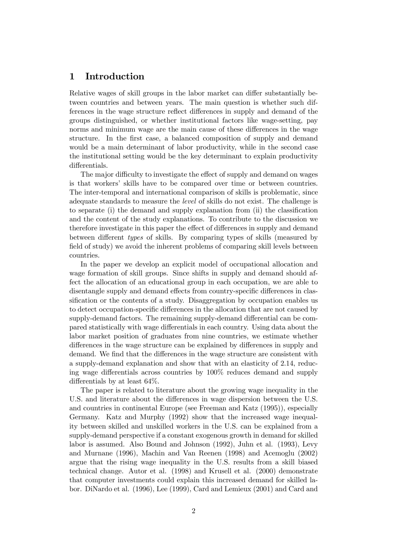## 1 Introduction

Relative wages of skill groups in the labor market can differ substantially between countries and between years. The main question is whether such differences in the wage structure reflect differences in supply and demand of the groups distinguished, or whether institutional factors like wage-setting, pay norms and minimum wage are the main cause of these differences in the wage structure. In the first case, a balanced composition of supply and demand would be a main determinant of labor productivity, while in the second case the institutional setting would be the key determinant to explain productivity differentials.

The major difficulty to investigate the effect of supply and demand on wages is that workers' skills have to be compared over time or between countries. The inter-temporal and international comparison of skills is problematic, since adequate standards to measure the level of skills do not exist. The challenge is to separate  $(i)$  the demand and supply explanation from  $(ii)$  the classification and the content of the study explanations. To contribute to the discussion we therefore investigate in this paper the effect of differences in supply and demand between different types of skills. By comparing types of skills (measured by field of study) we avoid the inherent problems of comparing skill levels between countries.

In the paper we develop an explicit model of occupational allocation and wage formation of skill groups. Since shifts in supply and demand should affect the allocation of an educational group in each occupation, we are able to disentangle supply and demand effects from country-specific differences in classification or the contents of a study. Disaggregation by occupation enables us to detect occupation-specific differences in the allocation that are not caused by supply-demand factors. The remaining supply-demand differential can be compared statistically with wage differentials in each country. Using data about the labor market position of graduates from nine countries, we estimate whether differences in the wage structure can be explained by differences in supply and demand. We find that the differences in the wage structure are consistent with a supply-demand explanation and show that with an elasticity of 2.14, reducing wage differentials across countries by  $100\%$  reduces demand and supply differentials by at least  $64\%$ .

The paper is related to literature about the growing wage inequality in the U.S. and literature about the differences in wage dispersion between the U.S. and countries in continental Europe (see Freeman and Katz (1995)), especially Germany. Katz and Murphy (1992) show that the increased wage inequality between skilled and unskilled workers in the U.S. can be explained from a supply-demand perspective if a constant exogenous growth in demand for skilled labor is assumed. Also Bound and Johnson (1992), Juhn et al. (1993), Levy and Murnane (1996), Machin and Van Reenen (1998) and Acemoglu (2002) argue that the rising wage inequality in the U.S. results from a skill biased technical change. Autor et al. (1998) and Krusell et al. (2000) demonstrate that computer investments could explain this increased demand for skilled labor. DiNardo et al. (1996), Lee (1999), Card and Lemieux (2001) and Card and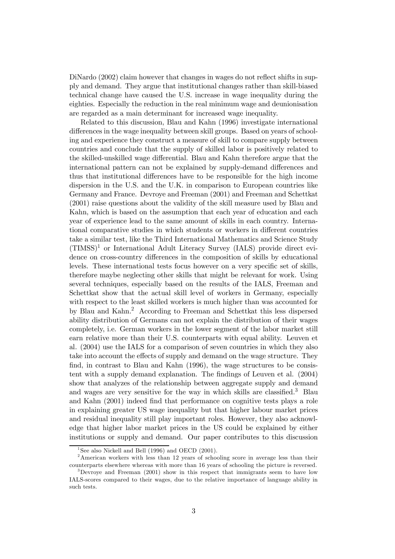DiNardo (2002) claim however that changes in wages do not reflect shifts in supply and demand. They argue that institutional changes rather than skill-biased technical change have caused the U.S. increase in wage inequality during the eighties. Especially the reduction in the real minimum wage and deunionisation are regarded as a main determinant for increased wage inequality.

Related to this discussion, Blau and Kahn (1996) investigate international differences in the wage inequality between skill groups. Based on years of schooling and experience they construct a measure of skill to compare supply between countries and conclude that the supply of skilled labor is positively related to the skilled-unskilled wage differential. Blau and Kahn therefore argue that the international pattern can not be explained by supply-demand differences and thus that institutional differences have to be responsible for the high income dispersion in the U.S. and the U.K. in comparison to European countries like Germany and France. Devroye and Freeman (2001) and Freeman and Schettkat (2001) raise questions about the validity of the skill measure used by Blau and Kahn, which is based on the assumption that each year of education and each year of experience lead to the same amount of skills in each country. International comparative studies in which students or workers in different countries take a similar test, like the Third International Mathematics and Science Study  $(TIMSS)^1$  or International Adult Literacy Survey (IALS) provide direct evidence on cross-country differences in the composition of skills by educational levels. These international tests focus however on a very specific set of skills. therefore maybe neglecting other skills that might be relevant for work. Using several techniques, especially based on the results of the IALS, Freeman and Schettkat show that the actual skill level of workers in Germany, especially with respect to the least skilled workers is much higher than was accounted for by Blau and Kahn.2 According to Freeman and Schettkat this less dispersed ability distribution of Germans can not explain the distribution of their wages completely, i.e. German workers in the lower segment of the labor market still earn relative more than their U.S. counterparts with equal ability. Leuven et al. (2004) use the IALS for a comparison of seven countries in which they also take into account the effects of supply and demand on the wage structure. They find, in contrast to Blau and Kahn  $(1996)$ , the wage structures to be consistent with a supply demand explanation. The findings of Leuven et al.  $(2004)$ show that analyzes of the relationship between aggregate supply and demand and wages are very sensitive for the way in which skills are classified.<sup>3</sup> Blau and Kahn (2001) indeed find that performance on cognitive tests plays a role in explaining greater US wage inequality but that higher labour market prices and residual inequality still play important roles. However, they also acknowledge that higher labor market prices in the US could be explained by either institutions or supply and demand. Our paper contributes to this discussion

<sup>&</sup>lt;sup>1</sup>See also Nickell and Bell (1996) and OECD (2001).

<sup>2</sup>American workers with less than 12 years of schooling score in average less than their counterparts elsewhere whereas with more than 16 years of schooling the picture is reversed.

<sup>&</sup>lt;sup>3</sup>Devroye and Freeman (2001) show in this respect that immigrants seem to have low IALS-scores compared to their wages, due to the relative importance of language ability in such tests.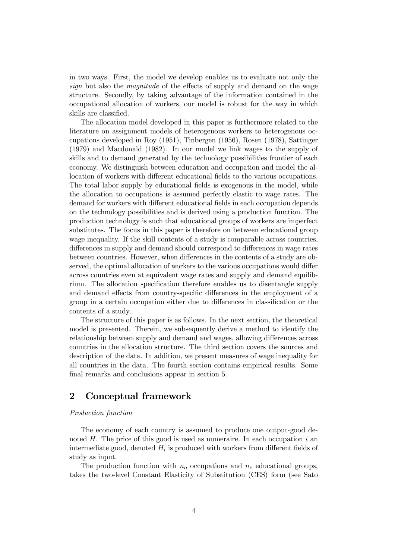in two ways. First, the model we develop enables us to evaluate not only the sign but also the *magnitude* of the effects of supply and demand on the wage structure. Secondly, by taking advantage of the information contained in the occupational allocation of workers, our model is robust for the way in which skills are classified.

The allocation model developed in this paper is furthermore related to the literature on assignment models of heterogenous workers to heterogenous occupations developed in Roy (1951), Tinbergen (1956), Rosen (1978), Sattinger (1979) and Macdonald (1982). In our model we link wages to the supply of skills and to demand generated by the technology possibilities frontier of each economy. We distinguish between education and occupation and model the allocation of workers with different educational fields to the various occupations. The total labor supply by educational fields is exogenous in the model, while the allocation to occupations is assumed perfectly elastic to wage rates. The demand for workers with different educational fields in each occupation depends on the technology possibilities and is derived using a production function. The production technology is such that educational groups of workers are imperfect substitutes. The focus in this paper is therefore on between educational group wage inequality. If the skill contents of a study is comparable across countries, differences in supply and demand should correspond to differences in wage rates between countries. However, when differences in the contents of a study are observed, the optimal allocation of workers to the various occupations would differ across countries even at equivalent wage rates and supply and demand equilibrium. The allocation specification therefore enables us to disentangle supply and demand effects from country-specific differences in the employment of a group in a certain occupation either due to differences in classification or the contents of a study.

The structure of this paper is as follows. In the next section, the theoretical model is presented. Therein, we subsequently derive a method to identify the relationship between supply and demand and wages, allowing differences across countries in the allocation structure. The third section covers the sources and description of the data. In addition, we present measures of wage inequality for all countries in the data. The fourth section contains empirical results. Some final remarks and conclusions appear in section 5.

## 2 Conceptual framework

#### Production function

The economy of each country is assumed to produce one output-good denoted  $H$ . The price of this good is used as numeraire. In each occupation  $i$  and intermediate good, denoted  $H_i$  is produced with workers from different fields of study as input.

The production function with  $n<sub>o</sub>$  occupations and  $n<sub>e</sub>$  educational groups, takes the two-level Constant Elasticity of Substitution (CES) form (see Sato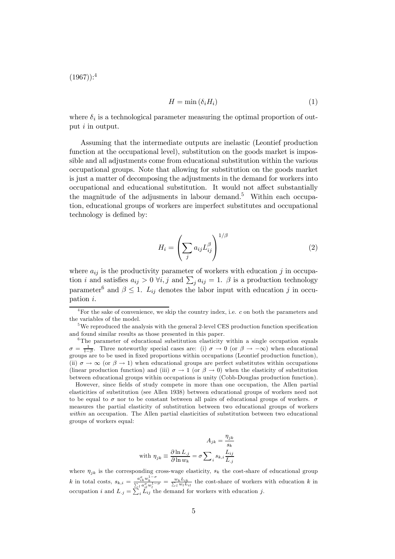$(1967))$ :<sup>4</sup>

$$
H = \min\left(\delta_i H_i\right) \tag{1}
$$

where  $\delta_i$  is a technological parameter measuring the optimal proportion of output *i* in output.

Assuming that the intermediate outputs are inelastic (Leontief production function at the occupational level), substitution on the goods market is impossible and all adjustments come from educational substitution within the various occupational groups. Note that allowing for substitution on the goods market is just a matter of decomposing the adjustments in the demand for workers into occupational and educational substitution. It would not affect substantially the magnitude of the adjusments in labour demand.<sup>5</sup> Within each occupation, educational groups of workers are imperfect substitutes and occupational technology is defined by:

$$
H_i = \left(\sum_j a_{ij} L_{ij}^{\beta}\right)^{1/\beta} \tag{2}
$$

where  $a_{ij}$  is the productivity parameter of workers with education j in occupation *i* and satisfies  $a_{ij} > 0$   $\forall i, j$  and  $\sum_j a_{ij} = 1$ .  $\beta$  is a production technology parameter<sup>6</sup> and  $\beta \leq 1$ .  $L_{ij}$  denotes the labor input with education j in occupation i.

However, since fields of study compete in more than one occupation, the Allen partial elasticities of substitution (see Allen 1938) between educational groups of workers need not to be equal to  $\sigma$  nor to be constant between all pairs of educational groups of workers.  $\sigma$ measures the partial elasticity of substitution between two educational groups of workers within an occupation. The Allen partial elasticities of substitution between two educational groups of workers equal:

$$
A_{jk} = \frac{\eta_{jk}}{s_k}
$$
  
with 
$$
\eta_{jk} \equiv \frac{\partial \ln L_{.j}}{\partial \ln w_k} = \sigma \sum_{i} s_{k,i} \frac{L_{ij}}{L_{.j}}
$$

where  $\eta_{jk}$  is the corresponding cross-wage elasticity,  $s_k$  the cost-share of educational group k in total costs,  $s_{k,i} = \frac{a_{ik}^{\sigma} w_k^{1-\sigma}}{\sum_l a_{il}^{\sigma} w_l^{1-\sigma}} = \frac{w_k L_{ik}}{\sum_l w_l L_{il}}$  the cost-share of workers with education k in occupation i and  $L_j = \sum_i L_{ij}$  the demand for workers with education j.

<sup>&</sup>lt;sup>4</sup>For the sake of convenience, we skip the country index, i.e. c on both the parameters and the variables of the model.

<sup>&</sup>lt;sup>5</sup>We reproduced the analysis with the general 2-level CES production function specification and found similar results as those presented in this paper.

 $6$ The parameter of educational substitution elasticity within a single occupation equals  $\sigma = \frac{1}{1-\beta}$ . Three noteworthy special cases are: (i)  $\sigma \to 0$  (or  $\beta \to -\infty$ ) when educational groups are to be used in fixed proportions within occupations (Leontief production function), (ii)  $\sigma \to \infty$  (or  $\beta \to 1$ ) when educational groups are perfect substitutes within occupations (linear production function) and (iii)  $\sigma \to 1$  (or  $\beta \to 0$ ) when the elasticity of substitution between educational groups within occupations is unity (Cobb-Douglas production function).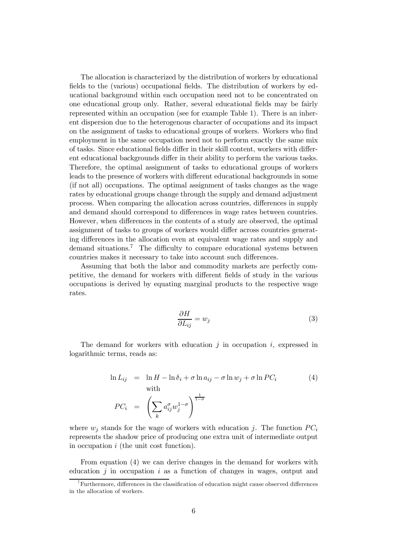The allocation is characterized by the distribution of workers by educational fields to the (various) occupational fields. The distribution of workers by educational background within each occupation need not to be concentrated on one educational group only. Rather, several educational fields may be fairly represented within an occupation (see for example Table 1). There is an inherent dispersion due to the heterogenous character of occupations and its impact on the assignment of tasks to educational groups of workers. Workers who find employment in the same occupation need not to perform exactly the same mix of tasks. Since educational fields differ in their skill content, workers with different educational backgrounds differ in their ability to perform the various tasks. Therefore, the optimal assignment of tasks to educational groups of workers leads to the presence of workers with different educational backgrounds in some (if not all) occupations. The optimal assignment of tasks changes as the wage rates by educational groups change through the supply and demand adjustment process. When comparing the allocation across countries, differences in supply and demand should correspond to differences in wage rates between countries. However, when differences in the contents of a study are observed, the optimal assignment of tasks to groups of workers would differ across countries generating differences in the allocation even at equivalent wage rates and supply and demand situations.<sup>7</sup> The difficulty to compare educational systems between countries makes it necessary to take into account such differences.

Assuming that both the labor and commodity markets are perfectly competitive, the demand for workers with different fields of study in the various occupations is derived by equating marginal products to the respective wage rates.

$$
\frac{\partial H}{\partial L_{ij}} = w_j \tag{3}
$$

The demand for workers with education  $j$  in occupation  $i$ , expressed in logarithmic terms, reads as:

$$
\ln L_{ij} = \ln H - \ln \delta_i + \sigma \ln a_{ij} - \sigma \ln w_j + \sigma \ln PC_i
$$
\nwith\n
$$
PC_i = \left(\sum_k a_{ij}^{\sigma} w_j^{1-\sigma}\right)^{\frac{1}{1-\sigma}}
$$
\n(4)

where  $w_i$  stands for the wage of workers with education j. The function  $PC_i$ represents the shadow price of producing one extra unit of intermediate output in occupation i (the unit cost function).

From equation (4) we can derive changes in the demand for workers with education  $i$  in occupation  $i$  as a function of changes in wages, output and

 $7$ Furthermore, differences in the classification of education might cause observed differences in the allocation of workers.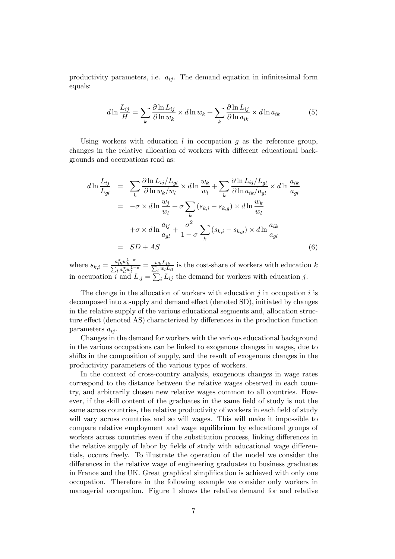productivity parameters, i.e.  $a_{ij}$ . The demand equation in infinitesimal form equals:

$$
d\ln\frac{L_{ij}}{H} = \sum_{k}\frac{\partial\ln L_{ij}}{\partial\ln w_k} \times d\ln w_k + \sum_{k}\frac{\partial\ln L_{ij}}{\partial\ln a_{ik}} \times d\ln a_{ik}
$$
(5)

Using workers with education  $l$  in occupation  $q$  as the reference group, changes in the relative allocation of workers with different educational backgrounds and occupations read as:

$$
d\ln\frac{L_{ij}}{L_{gl}} = \sum_{k} \frac{\partial \ln L_{ij}/L_{gl}}{\partial \ln w_{k}/w_{l}} \times d\ln\frac{w_{k}}{w_{l}} + \sum_{k} \frac{\partial \ln L_{ij}/L_{gl}}{\partial \ln a_{ik}/a_{gl}} \times d\ln\frac{a_{ik}}{a_{gl}}
$$
  

$$
= -\sigma \times d\ln\frac{w_{j}}{w_{l}} + \sigma \sum_{k} (s_{k,i} - s_{k,g}) \times d\ln\frac{w_{k}}{w_{l}}
$$
  

$$
+ \sigma \times d\ln\frac{a_{ij}}{a_{gl}} + \frac{\sigma^{2}}{1 - \sigma} \sum_{k} (s_{k,i} - s_{k,g}) \times d\ln\frac{a_{ik}}{a_{gl}}
$$
  

$$
= SD + AS
$$
 (6)

where  $s_{k,i} = \frac{a_{ik}^{\sigma} w_k^{1-\sigma}}{\sum_l a_{il}^{\sigma} w_l^{1-\sigma}} = \frac{w_k L_{ik}}{\sum_l w_l L_{il}}$  is the cost-share of workers with education k in occupation i and  $L_j = \sum_i L_{ij}$  the demand for workers with education j.

The change in the allocation of workers with education  $j$  in occupation  $i$  is decomposed into a supply and demand effect (denoted SD), initiated by changes in the relative supply of the various educational segments and, allocation structure effect (denoted AS) characterized by differences in the production function parameters  $a_{ij}$ .

Changes in the demand for workers with the various educational background in the various occupations can be linked to exogenous changes in wages, due to shifts in the composition of supply, and the result of exogenous changes in the productivity parameters of the various types of workers.

In the context of cross-country analysis, exogenous changes in wage rates correspond to the distance between the relative wages observed in each country, and arbitrarily chosen new relative wages common to all countries. However, if the skill content of the graduates in the same field of study is not the same across countries, the relative productivity of workers in each field of study will vary across countries and so will wages. This will make it impossible to compare relative employment and wage equilibrium by educational groups of workers across countries even if the substitution process, linking differences in the relative supply of labor by fields of study with educational wage differentials, occurs freely. To illustrate the operation of the model we consider the differences in the relative wage of engineering graduates to business graduates in France and the UK. Great graphical simplification is achieved with only one occupation. Therefore in the following example we consider only workers in managerial occupation. Figure 1 shows the relative demand for and relative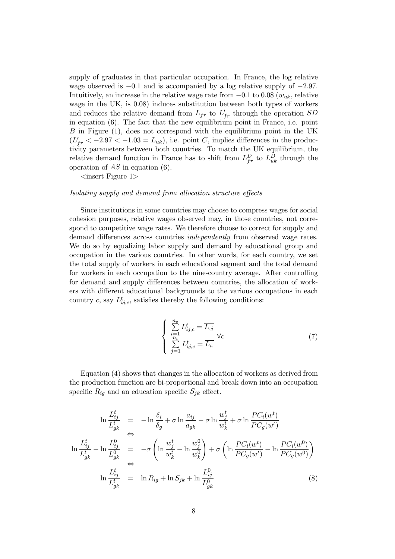supply of graduates in that particular occupation. In France, the log relative wage observed is  $-0.1$  and is accompanied by a log relative supply of  $-2.97$ . Intuitively, an increase in the relative wage rate from  $-0.1$  to 0.08 ( $w_{uk}$ , relative wage in the UK, is 0.08) induces substitution between both types of workers and reduces the relative demand from  $L_{fr}$  to  $L'_{fr}$  through the operation  $SD$ in equation (6). The fact that the new equilibrium point in France, i.e. point B in Figure (1), does not correspond with the equilibrium point in the UK  $(L'_{fr} < -2.97 < -1.03 = L_{uk}),$  i.e. point C, implies differences in the productivity parameters between both countries. To match the UK equilibrium, the relative demand function in France has to shift from  $L_{fr}^D$  to  $L_{uk}^D$  through the operation of  $AS$  in equation  $(6)$ .

 $\langle$  insert Figure 1>

#### Isolating supply and demand from allocation structure effects

Since institutions in some countries may choose to compress wages for social cohesion purposes, relative wages observed may, in those countries, not correspond to competitive wage rates. We therefore choose to correct for supply and demand differences across countries *independently* from observed wage rates. We do so by equalizing labor supply and demand by educational group and occupation in the various countries. In other words, for each country, we set the total supply of workers in each educational segment and the total demand for workers in each occupation to the nine-country average. After controlling for demand and supply differences between countries, the allocation of workers with different educational backgrounds to the various occupations in each country c, say  $L_{ij,c}^t$ , satisfies thereby the following conditions:

$$
\begin{cases}\n\sum_{i=1}^{n_o} L_{ij,c}^t = \overline{L_{.j}}\\ \n\sum_{j=1}^{n_e} L_{ij,c}^t = \overline{L_{i.}}\n\end{cases} \forall c
$$
\n(7)

Equation (4) shows that changes in the allocation of workers as derived from the production function are bi-proportional and break down into an occupation specific  $R_{iq}$  and an education specific  $S_{jk}$  effect.

$$
\ln \frac{L_{ij}^t}{L_{gk}^t} = -\ln \frac{\delta_i}{\delta_g} + \sigma \ln \frac{a_{ij}}{a_{gk}} - \sigma \ln \frac{w_j^t}{w_k^t} + \sigma \ln \frac{PC_i(w^t)}{PC_g(w^t)}
$$
  
\n
$$
\ln \frac{L_{ij}^t}{L_{gk}^t} - \ln \frac{L_{ij}^0}{L_{gk}^0} = -\sigma \left( \ln \frac{w_j^t}{w_k^t} - \ln \frac{w_j^0}{w_k^0} \right) + \sigma \left( \ln \frac{PC_i(w^t)}{PC_g(w^t)} - \ln \frac{PC_i(w^0)}{PC_g(w^0)} \right)
$$
  
\n
$$
\ln \frac{L_{ij}^t}{L_{gk}^t} = \ln R_{ig} + \ln S_{jk} + \ln \frac{L_{ij}^0}{L_{gk}^0}
$$
 (8)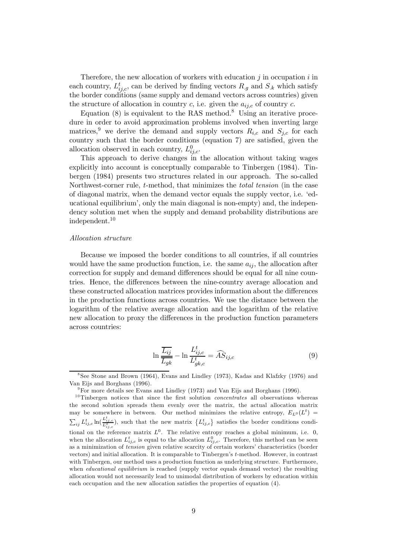Therefore, the new allocation of workers with education  $j$  in occupation  $i$  in each country,  $L_{ij,c}^t$ , can be derived by finding vectors  $R_{.g}$  and  $S_{.k}$  which satisfy the border conditions (same supply and demand vectors across countries) given the structure of allocation in country c, i.e. given the  $a_{ij,c}$  of country c.

Equation  $(8)$  is equivalent to the RAS method.<sup>8</sup> Using an iterative procedure in order to avoid approximation problems involved when inverting large matrices,<sup>9</sup> we derive the demand and supply vectors  $R_{i,c}$  and  $S_{i,c}$  for each country such that the border conditions (equation  $7$ ) are satisfied, given the allocation observed in each country,  $L_{ij,c}^0$ .

This approach to derive changes in the allocation without taking wages explicitly into account is conceptually comparable to Tinbergen (1984). Tinbergen (1984) presents two structures related in our approach. The so-called Northwest-corner rule, t-method, that minimizes the total tension (in the case of diagonal matrix, when the demand vector equals the supply vector, i.e. 'educational equilibrium', only the main diagonal is non-empty) and, the independency solution met when the supply and demand probability distributions are independent.10

#### Allocation structure

Because we imposed the border conditions to all countries, if all countries would have the same production function, i.e. the same  $a_{ij}$ , the allocation after correction for supply and demand differences should be equal for all nine countries. Hence, the differences between the nine-country average allocation and these constructed allocation matrices provides information about the differences in the production functions across countries. We use the distance between the logarithm of the relative average allocation and the logarithm of the relative new allocation to proxy the differences in the production function parameters across countries:

$$
\ln \frac{\overline{L_{ij}}}{\overline{L_{gk}}} - \ln \frac{L_{ij,c}^t}{L_{gk,c}^t} = \widehat{AS}_{ij,c}
$$
\n(9)

<sup>8</sup>See Stone and Brown (1964), Evans and Lindley (1973), Kadas and Klafzky (1976) and Van Eijs and Borghans (1996).

 $9$ For more details see Evans and Lindley (1973) and Van Eijs and Borghans (1996).

 $10$ Tinbergen notices that since the first solution *concentrates* all observations whereas the second solution spreads them evenly over the matrix, the actual allocation matrix may be somewhere in between. Our method minimizes the relative entropy,  $E_{L^0}(L^t)$  =  $\sum_{ij} L_{ij,c}^t \ln(\frac{L_{ij,c}^t}{L_{ij,c}^0})$ , such that the new matrix  $\{L_{ij,c}^t\}$  satisfies the border conditions conditional on the reference matrix  $L^0$ . The relative entropy reaches a global minimum, i.e. 0, when the allocation  $L_{ij,c}^t$  is equal to the allocation  $L_{ij,c}^0$ . Therefore, this method can be seen as a minimization of tension given relative scarcity of certain workers' characteristics (border vectors) and initial allocation. It is comparable to Tinbergen's t-method. However, in contrast with Tinbergen, our method uses a production function as underlying structure. Furthermore, when *educational equilibrium* is reached (supply vector equals demand vector) the resulting allocation would not necessarily lead to unimodal distribution of workers by education within each occupation and the new allocation satisfies the properties of equation  $(4)$ .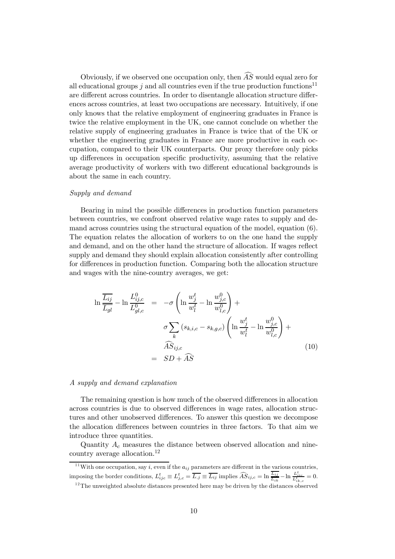Obviously, if we observed one occupation only, then  $\widehat{AS}$  would equal zero for all educational groups j and all countries even if the true production functions<sup>11</sup> are different across countries. In order to disentangle allocation structure differences across countries, at least two occupations are necessary. Intuitively, if one only knows that the relative employment of engineering graduates in France is twice the relative employment in the UK, one cannot conclude on whether the relative supply of engineering graduates in France is twice that of the UK or whether the engineering graduates in France are more productive in each occupation, compared to their UK counterparts. Our proxy therefore only picks up differences in occupation specific productivity, assuming that the relative average productivity of workers with two different educational backgrounds is about the same in each country.

#### Supply and demand

Bearing in mind the possible differences in production function parameters between countries, we confront observed relative wage rates to supply and demand across countries using the structural equation of the model, equation (6). The equation relates the allocation of workers to on the one hand the supply and demand, and on the other hand the structure of allocation. If wages reflect supply and demand they should explain allocation consistently after controlling for differences in production function. Comparing both the allocation structure and wages with the nine-country averages, we get:

$$
\ln \frac{\overline{L_{ij}}}{\overline{L_{gl}}} - \ln \frac{L_{ij,c}^0}{L_{gl,c}^0} = -\sigma \left( \ln \frac{w_j^t}{w_l^t} - \ln \frac{w_{j,c}^0}{w_{l,c}^0} \right) + \sigma \sum_k (s_{k,i,c} - s_{k,g,c}) \left( \ln \frac{w_j^t}{w_l^t} - \ln \frac{w_{j,c}^0}{w_{l,c}^0} \right) + \widehat{AS}_{ij,c} = SD + \widehat{AS}
$$
\n(10)

#### A supply and demand explanation

The remaining question is how much of the observed differences in allocation across countries is due to observed differences in wage rates, allocation structures and other unobserved differences. To answer this question we decompose the allocation differences between countries in three factors. To that aim we introduce three quantities.

Quantity  $A_c$  measures the distance between observed allocation and ninecountry average allocation.12

<sup>11</sup> With one occupation, say *i*, even if the  $a_{ij}$  parameters are different in the various countries, imposing the border conditions,  $L_{ijc}^t \equiv L_{j,c}^t = \overline{L_{.j}} \equiv \overline{L_{ij}}$  implies  $\widehat{AS}_{ij,c} = \ln \frac{\overline{L_{ij}}}{\overline{L_{ik}} - \ln \frac{L_{ijc}^t}{L_{ik,c}^t}} = 0.$ <sup>12</sup>The unweighted absolute distances presented here may be driven by the distances observed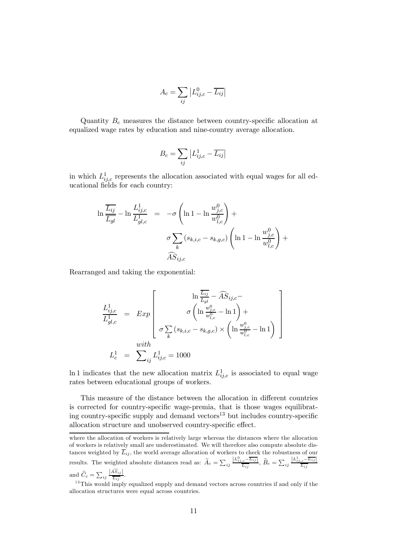$$
A_c = \sum_{ij} \left| L_{ij,c}^0 - \overline{L_{ij}} \right|
$$

Quantity  $B_c$  measures the distance between country-specific allocation at equalized wage rates by education and nine-country average allocation.

$$
B_c = \sum_{ij} \left| L_{ij,c}^1 - \overline{L_{ij}} \right|
$$

in which  $L_{ij,c}^1$  represents the allocation associated with equal wages for all educational fields for each country:

$$
\ln \frac{\overline{L_{ij}}}{\overline{L_{gl}}} - \ln \frac{L_{ij,c}^1}{L_{gl,c}^1} = -\sigma \left( \ln 1 - \ln \frac{w_{j,c}^0}{w_{l,c}^0} \right) + \sigma \sum_k (s_{k,i,c} - s_{k,g,c}) \left( \ln 1 - \ln \frac{w_{j,c}^0}{w_{l,c}^0} \right) + \widehat{AS}_{ij,c}
$$

Rearranged and taking the exponential:

$$
\begin{aligned}\n\frac{L_{ij,c}^1}{L_{gl,c}^1} &= \left[ \begin{array}{c} \ln \frac{\overline{L_{ij}}}{\overline{L_{gl}}} - \widehat{AS}_{ij,c} - \\ \sigma \left( \ln \frac{w_{j,c}^0}{w_{l,c}^0} - \ln 1 \right) + \\ \sigma \sum_k \left( s_{k,i,c} - s_{k,g,c} \right) \times \left( \ln \frac{w_{j,c}^0}{w_{l,c}^0} - \ln 1 \right) \end{array} \right] \\
L_c^1 &= \left[ \begin{array}{c} \sum_{ij} L_{ij,c}^1 = 1000 \end{array} \right]\n\end{aligned}
$$

In 1 indicates that the new allocation matrix  $L_{ij,c}^1$  is associated to equal wage rates between educational groups of workers.

This measure of the distance between the allocation in different countries is corrected for country-specific wage-premia, that is those wages equilibrating country-specific supply and demand vectors $^{13}$  but includes country-specific allocation structure and unobserved country-specific effect.

where the allocation of workers is relatively large whereas the distances where the allocation of workers is relatively small are underestimated. We will therefore also compute absolute distances weighted by  $L_{ij}$ , the world average allocation of workers to check the robustness of our results. The weighted absolute distances read as:  $\widetilde{A}_c = \sum_{ij} \frac{|L_{ij,c}^0 - \overline{L_{ij}}|}{\overline{L_{ij}}}$ ,  $\widetilde{B}_c = \sum_{ij} \frac{|L_{ij,c}^1 - \overline{L_{ij}}|}{\overline{L_{ij}}}$ 

and  $\widetilde{C}_c = \sum_{ij} \frac{|AS_{ij}|}{\overline{L_{ij}}}$ .

 $13$ This would imply equalized supply and demand vectors across countries if and only if the allocation structures were equal across countries.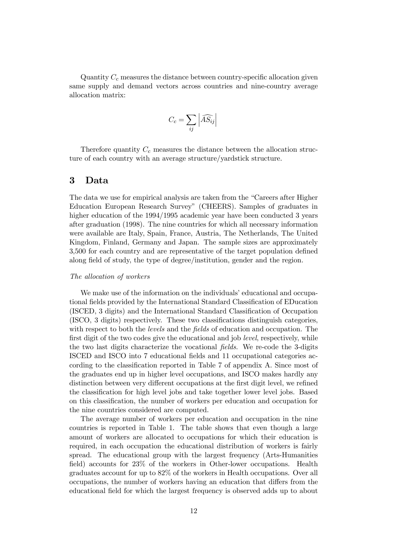Quantity  $C_c$  measures the distance between country-specific allocation given same supply and demand vectors across countries and nine-country average allocation matrix:

$$
C_c = \sum_{ij} \left| \widehat{AS_{ij}} \right|
$$

Therefore quantity  $C_c$  measures the distance between the allocation structure of each country with an average structure/yardstick structure.

### 3 Data

The data we use for empirical analysis are taken from the "Careers after Higher Education European Research Survey" (CHEERS). Samples of graduates in higher education of the 1994/1995 academic year have been conducted 3 years after graduation (1998). The nine countries for which all necessary information were available are Italy, Spain, France, Austria, The Netherlands, The United Kingdom, Finland, Germany and Japan. The sample sizes are approximately  $3,500$  for each country and are representative of the target population defined along field of study, the type of degree/institution, gender and the region.

#### The allocation of workers

We make use of the information on the individuals' educational and occupational fields provided by the International Standard Classification of EDucation (ISCED, 3 digits) and the International Standard Classification of Occupation  $(ISCO, 3 \text{ digits})$  respectively. These two classifications distinguish categories, with respect to both the *levels* and the *fields* of education and occupation. The first digit of the two codes give the educational and job *level*, respectively, while the two last digits characterize the vocational fields. We re-code the 3-digits ISCED and ISCO into 7 educational fields and 11 occupational categories according to the classification reported in Table 7 of appendix A. Since most of the graduates end up in higher level occupations, and ISCO makes hardly any distinction between very different occupations at the first digit level, we refined the classification for high level jobs and take together lower level jobs. Based on this classification, the number of workers per education and occupation for the nine countries considered are computed.

The average number of workers per education and occupation in the nine countries is reported in Table 1. The table shows that even though a large amount of workers are allocated to occupations for which their education is required, in each occupation the educational distribution of workers is fairly spread. The educational group with the largest frequency (Arts-Humanities field) accounts for  $23\%$  of the workers in Other-lower occupations. Health graduates account for up to 82% of the workers in Health occupations. Over all occupations, the number of workers having an education that differs from the educational field for which the largest frequency is observed adds up to about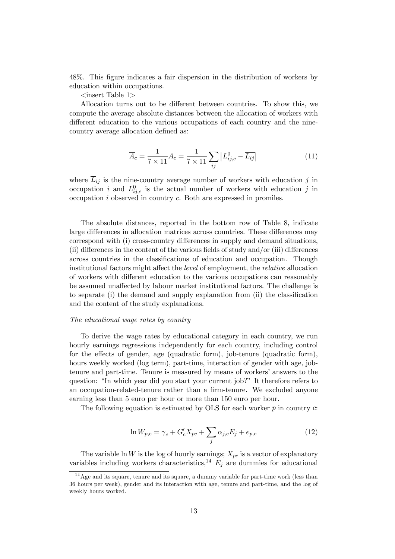48%. This figure indicates a fair dispersion in the distribution of workers by education within occupations.

 $\langle$ insert Table 1>

Allocation turns out to be different between countries. To show this, we compute the average absolute distances between the allocation of workers with different education to the various occupations of each country and the ninecountry average allocation defined as:

$$
\overline{A}_c = \frac{1}{7 \times 11} A_c = \frac{1}{7 \times 11} \sum_{ij} |L_{ij,c}^0 - \overline{L_{ij}}|
$$
\n(11)

where  $\overline{L}_{ij}$  is the nine-country average number of workers with education j in occupation i and  $L_{ij,c}^0$  is the actual number of workers with education j in occupation  $i$  observed in country  $c$ . Both are expressed in promiles.

The absolute distances, reported in the bottom row of Table 8, indicate large differences in allocation matrices across countries. These differences may correspond with (i) cross-country differences in supply and demand situations, (ii) differences in the content of the various fields of study and/or (iii) differences across countries in the classifications of education and occupation. Though institutional factors might affect the *level* of employment, the *relative* allocation of workers with different education to the various occupations can reasonably be assumed unaffected by labour market institutional factors. The challenge is to separate (i) the demand and supply explanation from  $(i)$  the classification and the content of the study explanations.

#### The educational wage rates by country

To derive the wage rates by educational category in each country, we run hourly earnings regressions independently for each country, including control for the effects of gender, age (quadratic form), job-tenure (quadratic form), hours weekly worked (log term), part-time, interaction of gender with age, jobtenure and part-time. Tenure is measured by means of workers' answers to the question: "In which year did you start your current job?" It therefore refers to an occupation-related-tenure rather than a firm-tenure. We excluded anyone earning less than 5 euro per hour or more than 150 euro per hour.

The following equation is estimated by OLS for each worker  $p$  in country  $c$ :

$$
\ln W_{p,c} = \gamma_c + G_c' X_{pc} + \sum_j \alpha_{j,c} E_j + e_{p,c} \tag{12}
$$

The variable ln W is the log of hourly earnings;  $X_{pc}$  is a vector of explanatory variables including workers characteristics,<sup>14</sup>  $E_i$  are dummies for educational

 $14$  Age and its square, tenure and its square, a dummy variable for part-time work (less than 36 hours per week), gender and its interaction with age, tenure and part-time, and the log of weekly hours worked.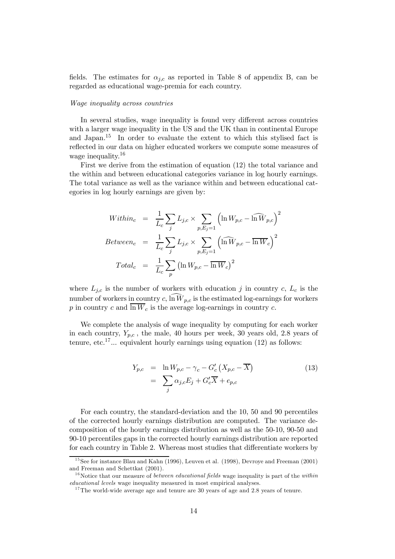fields. The estimates for  $\alpha_{i,c}$  as reported in Table 8 of appendix B, can be regarded as educational wage-premia for each country.

#### Wage inequality across countries

In several studies, wage inequality is found very different across countries with a larger wage inequality in the US and the UK than in continental Europe and Japan.15 In order to evaluate the extent to which this stylised fact is reflected in our data on higher educated workers we compute some measures of wage inequality.<sup>16</sup>

First we derive from the estimation of equation (12) the total variance and the within and between educational categories variance in log hourly earnings. The total variance as well as the variance within and between educational categories in log hourly earnings are given by:

$$
Within_c = \frac{1}{L_c} \sum_{j} L_{j,c} \times \sum_{p,E_j=1} \left( \ln W_{p,c} - \widehat{\ln W}_{p,c} \right)^2
$$
  
\n
$$
Between_c = \frac{1}{L_c} \sum_{j} L_{j,c} \times \sum_{p,E_j=1} \left( \widehat{\ln W}_{p,c} - \overline{\ln W}_{c} \right)^2
$$
  
\n
$$
Total_c = \frac{1}{L_c} \sum_{p} \left( \ln W_{p,c} - \overline{\ln W}_{c} \right)^2
$$

where  $L_{j,c}$  is the number of workers with education j in country c,  $L_c$  is the number of workers in country c,  $\widehat{\ln W}_{p,c}$  is the estimated log-earnings for workers p in country c and  $\overline{\ln W_c}$  is the average log-earnings in country c.

We complete the analysis of wage inequality by computing for each worker in each country,  $Y_{p,c}$ , the male, 40 hours per week, 30 years old, 2.8 years of tenure, etc.<sup>17</sup> $\ldots$  equivalent hourly earnings using equation (12) as follows:

$$
Y_{p,c} = \ln W_{p,c} - \gamma_c - G'_c (X_{p,c} - \overline{X})
$$
  
= 
$$
\sum_j \alpha_{j,c} E_j + G'_c \overline{X} + e_{p,c}
$$
 (13)

For each country, the standard-deviation and the 10, 50 and 90 percentiles of the corrected hourly earnings distribution are computed. The variance decomposition of the hourly earnings distribution as well as the 50-10, 90-50 and 90-10 percentiles gaps in the corrected hourly earnings distribution are reported for each country in Table 2. Whereas most studies that differentiate workers by

 $15$  See for instance Blau and Kahn (1996), Leuven et al. (1998), Devroye and Freeman (2001) and Freeman and Schettkat (2001).

<sup>&</sup>lt;sup>16</sup> Notice that our measure of *between educational fields* wage inequality is part of the *within* educational levels wage inequality measured in most empirical analyses.

 $17$ The world-wide average age and tenure are 30 years of age and 2.8 years of tenure.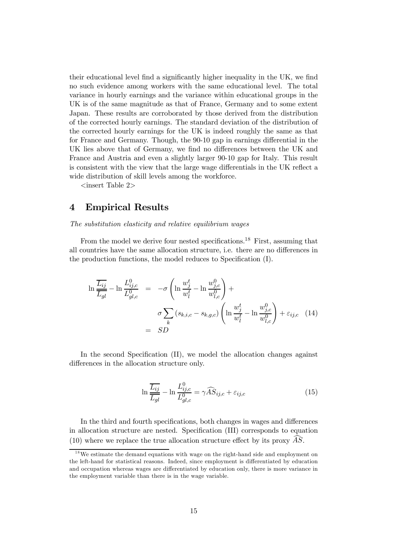their educational level find a significantly higher inequality in the UK, we find no such evidence among workers with the same educational level. The total variance in hourly earnings and the variance within educational groups in the UK is of the same magnitude as that of France, Germany and to some extent Japan. These results are corroborated by those derived from the distribution of the corrected hourly earnings. The standard deviation of the distribution of the corrected hourly earnings for the UK is indeed roughly the same as that for France and Germany. Though, the 90-10 gap in earnings differential in the UK lies above that of Germany, we find no differences between the UK and France and Austria and even a slightly larger 90-10 gap for Italy. This result is consistent with the view that the large wage differentials in the UK reflect a wide distribution of skill levels among the workforce.

 $\langle$ insert Table 2>

## 4 Empirical Results

The substitution elasticity and relative equilibrium wages

From the model we derive four nested specifications.<sup>18</sup> First, assuming that all countries have the same allocation structure, i.e. there are no differences in the production functions, the model reduces to Specification (I).

$$
\ln \frac{\overline{L_{ij}}}{\overline{L_{gl}}} - \ln \frac{L_{ij,c}^0}{L_{gl,c}^0} = -\sigma \left( \ln \frac{w_j^t}{w_l^t} - \ln \frac{w_{j,c}^0}{w_{l,c}^0} \right) + \sigma \sum_{k} (s_{k,i,c} - s_{k,g,c}) \left( \ln \frac{w_j^t}{w_l^t} - \ln \frac{w_{j,c}^0}{w_{l,c}^0} \right) + \varepsilon_{ij,c} \quad (14)
$$

$$
= SD
$$

In the second Specification  $(II)$ , we model the allocation changes against differences in the allocation structure only.

$$
\ln \frac{\overline{L_{ij}}}{\overline{L_{gl}}} - \ln \frac{L_{ij,c}^0}{L_{gl,c}^0} = \gamma \widehat{AS}_{ij,c} + \varepsilon_{ij,c}
$$
\n(15)

In the third and fourth specifications, both changes in wages and differences in allocation structure are nested. Specification (III) corresponds to equation (10) where we replace the true allocation structure effect by its proxy  $\overrightarrow{AS}$ .

 $18$  We estimate the demand equations with wage on the right-hand side and employment on the left-hand for statistical reasons. Indeed, since employment is differentiated by education and occupation whereas wages are differentiated by education only, there is more variance in the employment variable than there is in the wage variable.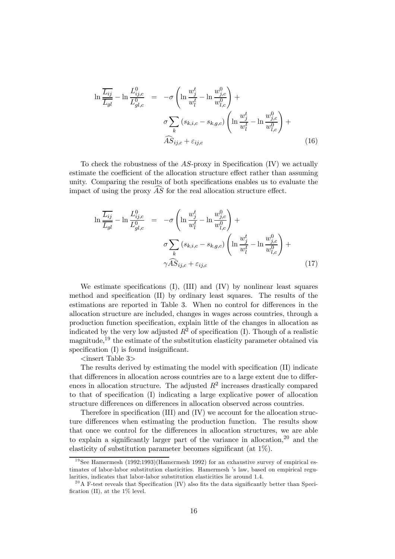$$
\ln \frac{\overline{L_{ij}}}{\overline{L_{gl}}} - \ln \frac{L_{ij,c}^0}{L_{gl,c}^0} = -\sigma \left( \ln \frac{w_j^t}{w_l^t} - \ln \frac{w_{j,c}^0}{w_{l,c}^0} \right) + \sigma \sum_k (s_{k,i,c} - s_{k,g,c}) \left( \ln \frac{w_j^t}{w_l^t} - \ln \frac{w_{j,c}^0}{w_{l,c}^0} \right) + \widehat{AS}_{ij,c} + \varepsilon_{ij,c}
$$
\n(16)

To check the robustness of the  $AS$ -proxy in Specification (IV) we actually estimate the coefficient of the allocation structure effect rather than assuming unity. Comparing the results of both specifications enables us to evaluate the impact of using the proxy  $\overrightarrow{AS}$  for the real allocation structure effect.

$$
\ln \frac{\overline{L_{ij}}}{\overline{L_{gl}}} - \ln \frac{L_{ij,c}^0}{L_{gl,c}^0} = -\sigma \left( \ln \frac{w_j^t}{w_l^t} - \ln \frac{w_{j,c}^0}{w_{l,c}^0} \right) + \sigma \sum_k (s_{k,i,c} - s_{k,g,c}) \left( \ln \frac{w_j^t}{w_l^t} - \ln \frac{w_{j,c}^0}{w_{l,c}^0} \right) + \gamma \widehat{AS}_{ij,c} + \varepsilon_{ij,c}
$$
\n(17)

We estimate specifications  $(I)$ ,  $(III)$  and  $(IV)$  by nonlinear least squares method and specification  $(II)$  by ordinary least squares. The results of the estimations are reported in Table 3. When no control for differences in the allocation structure are included, changes in wages across countries, through a production function specification, explain little of the changes in allocation as indicated by the very low adjusted  $R^2$  of specification (I). Though of a realistic magnitude,<sup>19</sup> the estimate of the substitution elasticity parameter obtained via specification  $(I)$  is found insignificant.

 $\langle$ insert Table 3 $>$ 

The results derived by estimating the model with specification (II) indicate that differences in allocation across countries are to a large extent due to differences in allocation structure. The adjusted  $R^2$  increases drastically compared to that of specification (I) indicating a large explicative power of allocation structure differences on differences in allocation observed across countries.

Therefore in specification (III) and  $(IV)$  we account for the allocation structure differences when estimating the production function. The results show that once we control for the differences in allocation structures, we are able to explain a significantly larger part of the variance in allocation,  $2<sup>0</sup>$  and the elasticity of substitution parameter becomes significant (at  $1\%$ ).

<sup>&</sup>lt;sup>19</sup>See Hamermesh (1992;1993)(Hamermesh 1992) for an exhaustive survey of empirical estimates of labor-labor substitution elasticities. Hamermesh 's law, based on empirical regularities, indicates that labor-labor substitution elasticities lie around 1.4.

<sup>&</sup>lt;sup>20</sup>A F-test reveals that Specification (IV) also fits the data significantly better than Specification (II), at the  $1\%$  level.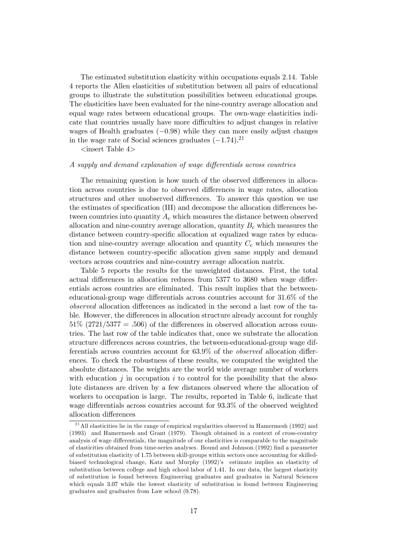The estimated substitution elasticity within occupations equals 2:14. Table 4 reports the Allen elasticities of substitution between all pairs of educational groups to illustrate the substitution possibilities between educational groups. The elasticities have been evaluated for the nine-country average allocation and equal wage rates between educational groups. The own-wage elasticities indicate that countries usually have more difficulties to adjust changes in relative wages of Health graduates  $(-0.98)$  while they can more easily adjust changes in the wage rate of Social sciences graduates  $(-1.74).^{21}$ 

 $\langle$ insert Table 4>

#### A supply and demand explanation of wage differentials across countries

The remaining question is how much of the observed differences in allocation across countries is due to observed differences in wage rates, allocation structures and other unobserved differences. To answer this question we use the estimates of specification (III) and decompose the allocation differences between countries into quantity  $A_c$  which measures the distance between observed allocation and nine-country average allocation, quantity  $B<sub>c</sub>$  which measures the distance between country-specific allocation at equalized wage rates by education and nine-country average allocation and quantity  $C_c$  which measures the distance between country-specific allocation given same supply and demand vectors across countries and nine-country average allocation matrix.

Table 5 reports the results for the unweighted distances. First, the total actual differences in allocation reduces from  $5377$  to  $3680$  when wage differentials across countries are eliminated. This result implies that the betweeneducational-group wage differentials across countries account for  $31.6\%$  of the observed allocation differences as indicated in the second a last row of the table. However, the differences in allocation structure already account for roughly  $51\%$  (2721/5377 = .506) of the differences in observed allocation across countries. The last row of the table indicates that, once we substrate the allocation structure differences across countries, the between-educational-group wage differentials across countries account for  $63.9\%$  of the *observed* allocation differences. To check the robustness of these results, we computed the weighted the absolute distances. The weights are the world wide average number of workers with education  $j$  in occupation  $i$  to control for the possibility that the absolute distances are driven by a few distances observed where the allocation of workers to occupation is large. The results, reported in Table 6, indicate that wage differentials across countries account for  $93.3\%$  of the observed weighted allocation differences

<sup>&</sup>lt;sup>21</sup> All elasticities lie in the range of empirical regularities observed in Hamermesh (1992) and (1993) and Hamermesh and Grant (1979). Though obtained in a context of cross-country analysis of wage differentials, the magnitude of our elasticities is comparable to the magnitude of elasticities obtained from time-series analyses. Bound and Johnson (1992) find a parameter of substitution elasticity of 1:75 between skill-groups within sectors once accounting for skilledbiased technological change, Katz and Murphy (1992)'s estimate implies an elasticity of substitution between college and high school labor of 1:41. In our data, the largest elasticity of substitution is found between Engineering graduates and graduates in Natural Sciences which equals 3.07 while the lowest elasticity of substitution is found between Engineering graduates and graduates from Law school (0:78).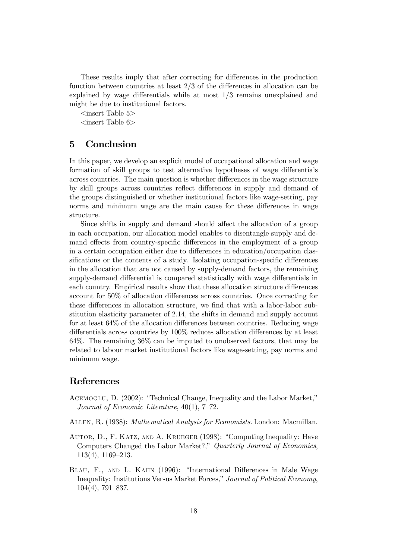These results imply that after correcting for differences in the production function between countries at least  $2/3$  of the differences in allocation can be explained by wage differentials while at most  $1/3$  remains unexplained and might be due to institutional factors.

 $\langle$  insert Table 5 $>$ 

 $\langle$ insert Table 6>

## 5 Conclusion

In this paper, we develop an explicit model of occupational allocation and wage formation of skill groups to test alternative hypotheses of wage differentials across countries. The main question is whether differences in the wage structure by skill groups across countries reflect differences in supply and demand of the groups distinguished or whether institutional factors like wage-setting, pay norms and minimum wage are the main cause for these differences in wage structure.

Since shifts in supply and demand should affect the allocation of a group in each occupation, our allocation model enables to disentangle supply and demand effects from country-specific differences in the employment of a group in a certain occupation either due to differences in education/occupation classifications or the contents of a study. Isolating occupation-specific differences in the allocation that are not caused by supply-demand factors, the remaining supply-demand differential is compared statistically with wage differentials in each country. Empirical results show that these allocation structure differences account for 50% of allocation differences across countries. Once correcting for these differences in allocation structure, we find that with a labor-labor substitution elasticity parameter of 2:14, the shifts in demand and supply account for at least  $64\%$  of the allocation differences between countries. Reducing wage differentials across countries by  $100\%$  reduces allocation differences by at least 64%. The remaining 36% can be imputed to unobserved factors, that may be related to labour market institutional factors like wage-setting, pay norms and minimum wage.

# References

- Acemoglu, D. (2002): "Technical Change, Inequality and the Labor Market," Journal of Economic Literature, 40(1), 7–72.
- Allen, R. (1938): Mathematical Analysis for Economists. London: Macmillan.
- Autor, D., F. Katz, and A. Krueger (1998): "Computing Inequality: Have Computers Changed the Labor Market?," Quarterly Journal of Economics, 113(4), 1169–213.
- BLAU, F., AND L. KAHN (1996): "International Differences in Male Wage Inequality: Institutions Versus Market Forces," Journal of Political Economy, 104(4), 791–837.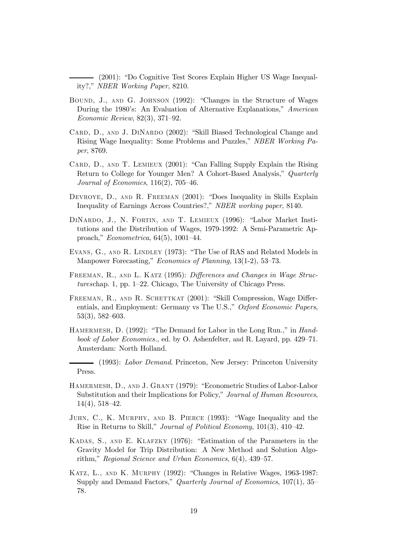(2001): "Do Cognitive Test Scores Explain Higher US Wage Inequality?," NBER Working Paper, 8210.

- Bound, J., and G. Johnson (1992): "Changes in the Structure of Wages During the 1980's: An Evaluation of Alternative Explanations," American Economic Review, 82(3), 371–92.
- CARD, D., AND J. DINARDO (2002): "Skill Biased Technological Change and Rising Wage Inequality: Some Problems and Puzzles," NBER Working Paper, 8769.
- CARD, D., AND T. LEMIEUX (2001): "Can Falling Supply Explain the Rising Return to College for Younger Men? A Cohort-Based Analysis," Quarterly Journal of Economics, 116(2), 705–46.
- Devroye, D., and R. Freeman (2001): "Does Inequality in Skills Explain Inequality of Earnings Across Countries?," NBER working paper, 8140.
- DiNardo, J., N. Fortin, and T. Lemieux (1996): "Labor Market Institutions and the Distribution of Wages, 1979-1992: A Semi-Parametric Approach," Econometrica, 64(5), 1001–44.
- Evans, G., and R. Lindley (1973): "The Use of RAS and Related Models in Manpower Forecasting," Economics of Planning, 13(1-2), 53–73.
- FREEMAN, R., AND L. KATZ (1995): Differences and Changes in Wage Structureschap. 1, pp. 1–22. Chicago, The University of Chicago Press.
- FREEMAN, R., AND R. SCHETTKAT (2001): "Skill Compression, Wage Differentials, and Employment: Germany vs The U.S.," Oxford Economic Papers, 53(3), 582–603.
- HAMERMESH, D. (1992): "The Demand for Labor in the Long Run.," in Handbook of Labor Economics., ed. by O. Ashenfelter, and R. Layard, pp. 429–71. Amsterdam: North Holland.

(1993): Labor Demand. Princeton, New Jersey: Princeton University Press.

- HAMERMESH, D., AND J. GRANT (1979): "Econometric Studies of Labor-Labor Substitution and their Implications for Policy," Journal of Human Resources, 14(4), 518–42.
- Juhn, C., K. Murphy, and B. Pierce (1993): "Wage Inequality and the Rise in Returns to Skill," Journal of Political Economy, 101(3), 410–42.
- Kadas, S., and E. Klafzky (1976): "Estimation of the Parameters in the Gravity Model for Trip Distribution: A New Method and Solution Algorithm," Regional Science and Urban Economics, 6(4), 439–57.
- Katz, L., and K. Murphy (1992): "Changes in Relative Wages, 1963-1987: Supply and Demand Factors," *Quarterly Journal of Economics*, 107(1), 35– 78.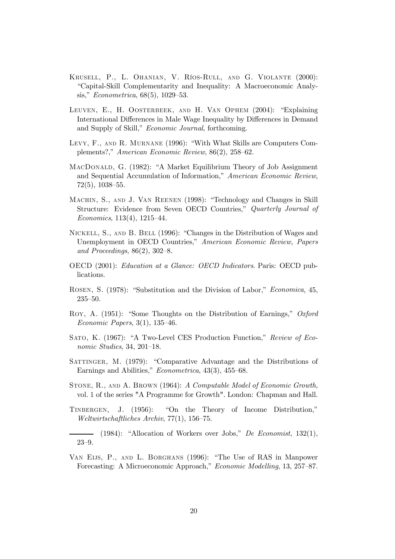- Krusell, P., L. Ohanian, V. Ríos-Rull, and G. Violante (2000): "Capital-Skill Complementarity and Inequality: A Macroeconomic Analysis," Econometrica, 68(5), 1029–53.
- Leuven, E., H. Oosterbeek, and H. Van Ophem (2004): "Explaining International Differences in Male Wage Inequality by Differences in Demand and Supply of Skill," Economic Journal, forthcoming.
- Levy, F., and R. Murnane (1996): "With What Skills are Computers Complements?," American Economic Review, 86(2), 258–62.
- MacDonald, G. (1982): "A Market Equilibrium Theory of Job Assignment and Sequential Accumulation of Information," American Economic Review, 72(5), 1038–55.
- Machin, S., and J. Van Reenen (1998): "Technology and Changes in Skill Structure: Evidence from Seven OECD Countries," Quarterly Journal of Economics, 113(4), 1215–44.
- Nickell, S., and B. Bell (1996): "Changes in the Distribution of Wages and Unemployment in OECD Countries," American Economic Review, Papers and Proceedings, 86(2), 302–8.
- OECD (2001): Education at a Glance: OECD Indicators. Paris: OECD publications.
- Rosen, S. (1978): "Substitution and the Division of Labor," Economica, 45, 235–50.
- Roy, A. (1951): "Some Thoughts on the Distribution of Earnings," Oxford Economic Papers, 3(1), 135–46.
- Sato, K. (1967): "A Two-Level CES Production Function," Review of Economic Studies, 34, 201–18.
- SATTINGER, M. (1979): "Comparative Advantage and the Distributions of Earnings and Abilities," Econometrica, 43(3), 455–68.
- Stone, R., and A. Brown (1964): A Computable Model of Economic Growth, vol. 1 of the series "A Programme for Growth". London: Chapman and Hall.
- Tinbergen, J. (1956): "On the Theory of Income Distribution," Weltwirtschaftliches Archiv, 77(1), 156–75.
- (1984): "Allocation of Workers over Jobs," De Economist, 132(1), 23–9.
- VAN EIJS, P., AND L. BORGHANS (1996): "The Use of RAS in Manpower Forecasting: A Microeconomic Approach," Economic Modelling, 13, 257–87.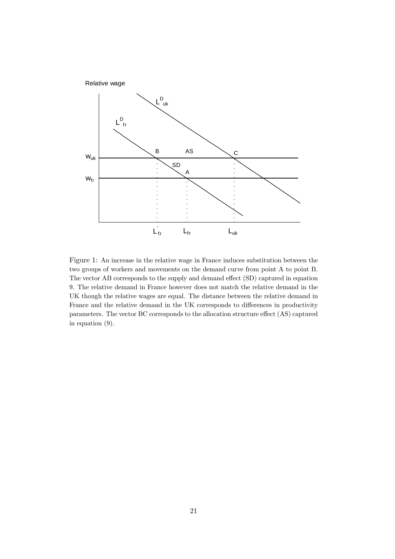

Figure 1: An increase in the relative wage in France induces substitution between the two groups of workers and movements on the demand curve from point A to point B. The vector AB corresponds to the supply and demand effect (SD) captured in equation 9. The relative demand in France however does not match the relative demand in the UK though the relative wages are equal. The distance between the relative demand in France and the relative demand in the UK corresponds to differences in productivity parameters. The vector BC corresponds to the allocation structure effect (AS) captured in equation (9).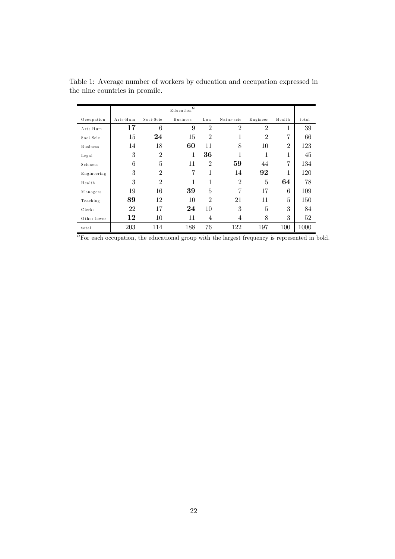|                 |          |                | Education $\bar{a}$ |                |                |                |                |       |
|-----------------|----------|----------------|---------------------|----------------|----------------|----------------|----------------|-------|
| Occupation      | Arts-Hum | Soci-Scie      | <b>Business</b>     | Law            | Natur-scie     | Engineer       | Health         | total |
| Arts-Hum        | 17       | 6              | 9                   | $\overline{2}$ | $\overline{2}$ | $\overline{2}$ | 1              | 39    |
| Soci-Scie       | 15       | 24             | 15                  | $\overline{2}$ | 1              | $\overline{2}$ | 7              | 66    |
| <b>Business</b> | 14       | 18             | 60                  | 11             | 8              | 10             | $\overline{2}$ | 123   |
| Legal           | 3        | $\overline{2}$ | 1                   | 36             | 1              | 1              | 1<br>T         | 45    |
| Sciences        | 6        | 5              | 11                  | $\overline{2}$ | 59             | 44             | 7              | 134   |
| Engineering     | 3        | $\overline{2}$ | 7                   | 1              | 14             | 92             | 1              | 120   |
| Health          | 3        | $\overline{2}$ | 1                   | 1              | $\overline{2}$ | 5              | 64             | 78    |
| Managers        | 19       | 16             | 39                  | 5              | 7              | 17             | 6              | 109   |
| Teaching        | 89       | 12             | 10                  | $\overline{2}$ | 21             | 11             | 5              | 150   |
| Clerks          | 22       | 17             | 24                  | 10             | 3              | 5              | 3              | 84    |
| Other-lower     | 12       | 10             | 11                  | 4              | 4              | 8              | 3              | 52    |
| total           | 203      | 114            | 188                 | 76             | 122            | 197            | 100            | 1000  |

Table 1: Average number of workers by education and occupation expressed in the nine countries in promile.

 $\overline{a_{\text{For each occupation, the educational group with the largest frequency is represented in bold.}}$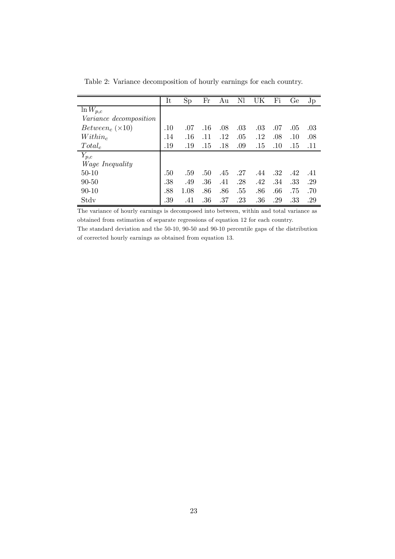|                                           | It         | Sp   | Fr  | Au      | Nl  | UK      | Fi  | Ge  | $J_{\rm p}$ |
|-------------------------------------------|------------|------|-----|---------|-----|---------|-----|-----|-------------|
| $\ln W_{p,c}$                             |            |      |     |         |     |         |     |     |             |
| <i>Variance decomposition</i>             |            |      |     |         |     |         |     |     |             |
| <i>Between</i> <sub>c</sub> $(\times 10)$ | $.10\,$    | .07  | .16 | .08     | .03 | .03     | .07 | .05 | .03         |
| $Within_c$                                | .14        | .16  | .11 | $.12\,$ | .05 | $.12\,$ | .08 | .10 | .08         |
| $Total_c$                                 | $.19$ $\,$ | .19  | .15 | .18     | .09 | .15     | .10 | .15 | .11         |
| $Y_{p,c}$                                 |            |      |     |         |     |         |     |     |             |
| <i>Wage Inequality</i>                    |            |      |     |         |     |         |     |     |             |
| $50 - 10$                                 | .50        | .59  | .50 | .45     | .27 | .44     | .32 | .42 | .41         |
| $90 - 50$                                 | .38        | .49  | .36 | .41     | .28 | .42     | .34 | .33 | .29         |
| $90 - 10$                                 | .88        | 1.08 | .86 | .86     | .55 | .86     | .66 | .75 | .70         |
| $_{\rm Stdv}$                             | .39        | .41  | .36 | .37     | .23 | .36     | .29 | .33 | .29         |

Table 2: Variance decomposition of hourly earnings for each country.

The variance of hourly earnings is decomposed into between, within and total variance as obtained from estimation of separate regressions of equation 12 for each country. The standard deviation and the 50-10, 90-50 and 90-10 percentile gaps of the distribution of corrected hourly earnings as obtained from equation 13.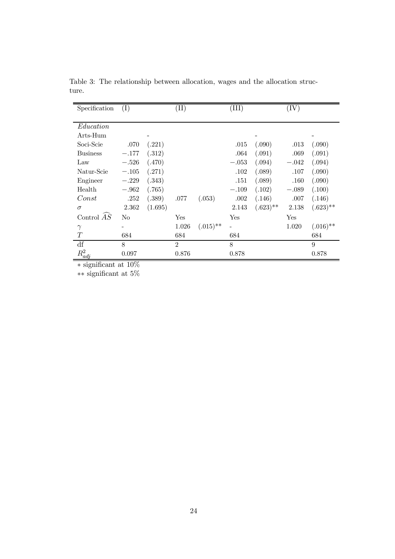| Specification   | (I)     |         | $(\mathrm{II})$ |             | $\rm (III)$ |             | $(\mathrm{IV})$ |             |
|-----------------|---------|---------|-----------------|-------------|-------------|-------------|-----------------|-------------|
|                 |         |         |                 |             |             |             |                 |             |
| Education       |         |         |                 |             |             |             |                 |             |
| Arts-Hum        |         |         |                 |             |             |             |                 |             |
| Soci-Scie       | .070    | (.221)  |                 |             | .015        | (.090)      | .013            | (.090)      |
| <b>Business</b> | $-.177$ | (.312)  |                 |             | .064        | (.091)      | .069            | (.091)      |
| Law             | $-.526$ | (.470)  |                 |             | $-.053$     | (.094)      | $-.042$         | (.094)      |
| Natur-Scie      | $-.105$ | (.271)  |                 |             | .102        | (.089)      | .107            | (.090)      |
| Engineer        | $-.229$ | (.343)  |                 |             | .151        | (.089)      | .160            | (.090)      |
| Health          | $-.962$ | (.765)  |                 |             | $-.109$     | (.102)      | $-.089$         | (.100)      |
| Const           | .252    | (.389)  | .077            | (.053)      | .002        | (.146)      | .007            | (.146)      |
| $\sigma$        | 2.362   | (1.695) |                 |             | 2.143       | $(.623)$ ** | 2.138           | $(.623)$ ** |
| Control $AS$    | No      |         | Yes             |             | Yes         |             | Yes             |             |
| $\gamma$        |         |         | 1.026           | $(.015)$ ** |             |             | 1.020           | $(.016)$ ** |
| T               | 684     |         | 684             |             | 684         |             |                 | 684         |
| df              | 8       |         | $\mathfrak{D}$  |             | 8           |             |                 | 9           |
| $R^2_{adj}$     | 0.097   |         | 0.876           |             | 0.878       |             |                 | 0.878       |

Table 3: The relationship between allocation, wages and the allocation structure.

 $\overline{\text{a} \cdot \text{significant at 10\%}}$ 

 $**$  significant at 5%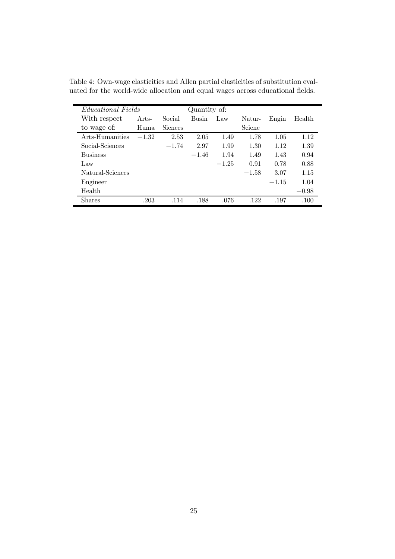| <b>Educational Fields</b> |         |                | Quantity of: |         |         |         |         |
|---------------------------|---------|----------------|--------------|---------|---------|---------|---------|
| With respect              | Arts-   | Social         | <b>Busin</b> | Law     | Natur-  | Engin   | Health  |
| to wage of:               | Huma    | <b>Siences</b> |              |         | Scienc  |         |         |
| Arts-Humanities           | $-1.32$ | 2.53           | 2.05         | 1.49    | 1.78    | 1.05    | 1.12    |
| Social-Sciences           |         | $-1.74$        | 2.97         | 1.99    | 1.30    | 1.12    | 1.39    |
| <b>Business</b>           |         |                | $-1.46$      | 1.94    | 1.49    | 1.43    | 0.94    |
| Law                       |         |                |              | $-1.25$ | 0.91    | 0.78    | 0.88    |
| Natural-Sciences          |         |                |              |         | $-1.58$ | 3.07    | 1.15    |
| Engineer                  |         |                |              |         |         | $-1.15$ | 1.04    |
| Health                    |         |                |              |         |         |         | $-0.98$ |
| <b>Shares</b>             | .203    | .114           | .188         | .076    | .122    | .197    | .100    |

Table 4: Own-wage elasticities and Allen partial elasticities of substitution evaluated for the world-wide allocation and equal wages across educational fields.  $\;$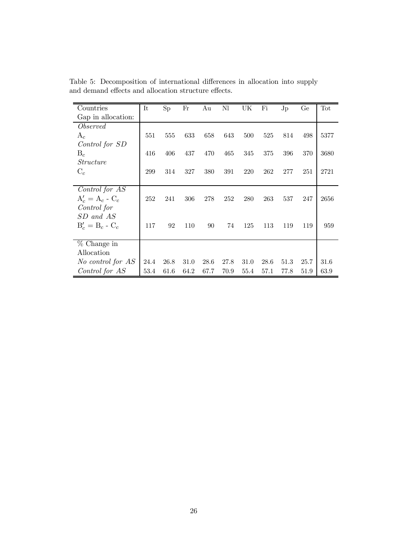| Countries          | It   | Sp   | Fr   | Au   | Nl   | UK.  | Fi   | Jp   | Ge   | Tot  |
|--------------------|------|------|------|------|------|------|------|------|------|------|
| Gap in allocation: |      |      |      |      |      |      |      |      |      |      |
| Observed           |      |      |      |      |      |      |      |      |      |      |
| $A_c$              | 551  | 555  | 633  | 658  | 643  | 500  | 525  | 814  | 498  | 5377 |
| Control for SD     |      |      |      |      |      |      |      |      |      |      |
| $B_c$              | 416  | 406  | 437  | 470  | 465  | 345  | 375  | 396  | 370  | 3680 |
| <i>Structure</i>   |      |      |      |      |      |      |      |      |      |      |
| $C_c$              | 299  | 314  | 327  | 380  | 391  | 220  | 262  | 277  | 251  | 2721 |
|                    |      |      |      |      |      |      |      |      |      |      |
| Control for AS     |      |      |      |      |      |      |      |      |      |      |
| $A'_c = A_c - C_c$ | 252  | 241  | 306  | 278  | 252  | 280  | 263  | 537  | 247  | 2656 |
| Control for        |      |      |      |      |      |      |      |      |      |      |
| SD and AS          |      |      |      |      |      |      |      |      |      |      |
| $B'_c = B_c - C_c$ | 117  | 92   | 110  | 90   | 74   | 125  | 113  | 119  | 119  | 959  |
|                    |      |      |      |      |      |      |      |      |      |      |
| % Change in        |      |      |      |      |      |      |      |      |      |      |
| Allocation         |      |      |      |      |      |      |      |      |      |      |
| No control for AS  | 24.4 | 26.8 | 31.0 | 28.6 | 27.8 | 31.0 | 28.6 | 51.3 | 25.7 | 31.6 |
| Control for AS     | 53.4 | 61.6 | 64.2 | 67.7 | 70.9 | 55.4 | 57.1 | 77.8 | 51.9 | 63.9 |

Table 5: Decomposition of international differences in allocation into supply and demand effects and allocation structure effects.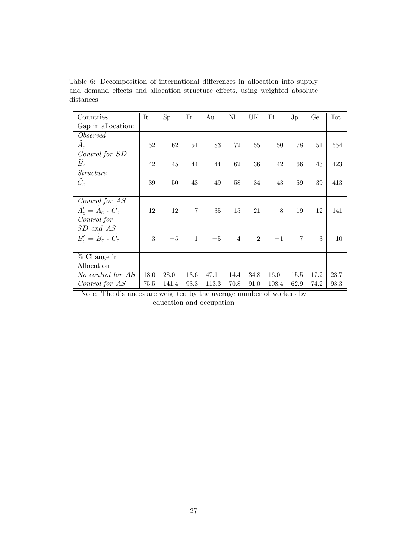Table 6: Decomposition of international differences in allocation into supply and demand effects and allocation structure effects, using weighted absolute distances

| Countries                                              | It     | <b>Sp</b> | Fr             | Au    | Nl             | UK             | Fi    | $J_{\rm p}$    | Ge   | Tot  |
|--------------------------------------------------------|--------|-----------|----------------|-------|----------------|----------------|-------|----------------|------|------|
| Gap in allocation:                                     |        |           |                |       |                |                |       |                |      |      |
| <i>Observed</i>                                        |        |           |                |       |                |                |       |                |      |      |
| $\widetilde{A}_c$                                      | $52\,$ | $62\,$    | $51\,$         | 83    | $72\,$         | 55             | 50    | $78\,$         | 51   | 554  |
| Control for SD                                         |        |           |                |       |                |                |       |                |      |      |
| $B_c$                                                  | 42     | $45\,$    | 44             | 44    | 62             | 36             | 42    | 66             | 43   | 423  |
| <i>Structure</i>                                       |        |           |                |       |                |                |       |                |      |      |
| $\widetilde{C}_c$                                      | 39     | 50        | 43             | 49    | 58             | 34             | 43    | 59             | 39   | 413  |
|                                                        |        |           |                |       |                |                |       |                |      |      |
| Control for AS                                         |        |           |                |       |                |                |       |                |      |      |
| $\widetilde{A}_c' = \widetilde{A}_c - \widetilde{C}_c$ | 12     | 12        | $\overline{7}$ | 35    | 15             | 21             | 8     | 19             | 12   | 141  |
| Control for                                            |        |           |                |       |                |                |       |                |      |      |
| SD and AS                                              |        |           |                |       |                |                |       |                |      |      |
| $\widetilde{B}'_c = \widetilde{B}_c - \widetilde{C}_c$ | 3      | $-5$      | $\mathbf{1}$   | $-5$  | $\overline{4}$ | $\overline{2}$ | $-1$  | $\overline{7}$ | 3    | 10   |
|                                                        |        |           |                |       |                |                |       |                |      |      |
| $%$ Change in                                          |        |           |                |       |                |                |       |                |      |      |
| Allocation                                             |        |           |                |       |                |                |       |                |      |      |
| No control for AS                                      | 18.0   | 28.0      | 13.6           | 47.1  | 14.4           | 34.8           | 16.0  | 15.5           | 17.2 | 23.7 |
| Control for AS                                         | 75.5   | 141.4     | 93.3           | 113.3 | 70.8           | 91.0           | 108.4 | 62.9           | 74.2 | 93.3 |

Note: The distances are weighted by the average number of workers by education and occupation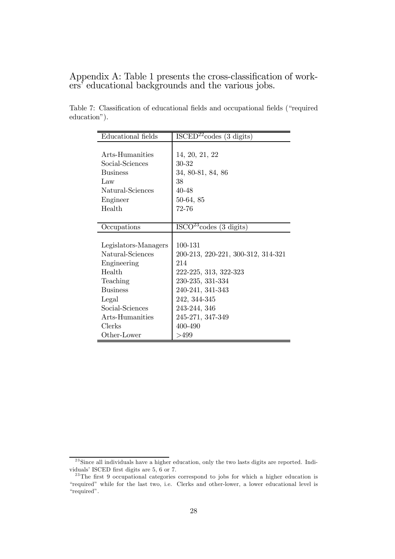Appendix A: Table 1 presents the cross-classification of workers' educational backgrounds and the various jobs.

| Educational fields   | ISCED <sup>22</sup> codes (3 digits) |
|----------------------|--------------------------------------|
|                      |                                      |
| Arts-Humanities      | 14, 20, 21, 22                       |
| Social-Sciences      | 30-32                                |
| <b>Business</b>      | 34, 80-81, 84, 86                    |
| Law                  | 38                                   |
| Natural-Sciences     | $40 - 48$                            |
| Engineer             | 50-64, 85                            |
| Health               | 72-76                                |
|                      |                                      |
| Occupations          | $ISCO23 codes$ (3 digits)            |
|                      |                                      |
| Legislators-Managers | 100-131                              |
| Natural-Sciences     | 200-213, 220-221, 300-312, 314-321   |
| Engineering          | 214                                  |
| Health               | 222-225, 313, 322-323                |
| Teaching             | 230-235, 331-334                     |
| <b>Business</b>      | 240-241, 341-343                     |
| Legal                | 242, 344-345                         |
| Social-Sciences      | 243-244, 346                         |
| Arts-Humanities      | 245-271, 347-349                     |
| Clerks               | 400-490                              |
| Other-Lower          | >499                                 |

Table 7: Classification of educational fields and occupational fields ("required education").

 $^{23}$ Since all individuals have a higher education, only the two lasts digits are reported. Individuals' ISCED first digits are 5, 6 or 7.

 $23$ The first 9 occupational categories correspond to jobs for which a higher education is "required" while for the last two, i.e. Clerks and other-lower, a lower educational level is "required".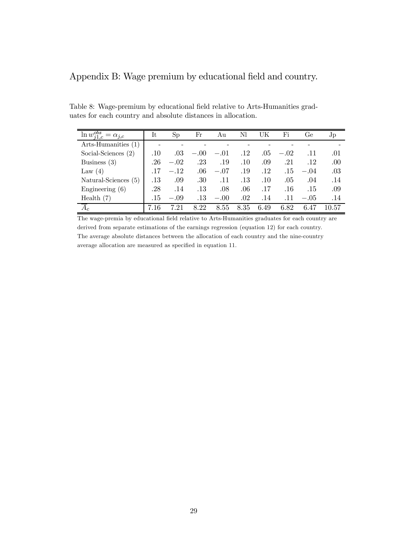# Appendix B: Wage premium by educational field and country.

| $\ln w_{i1,c}^{obs}$<br>$=\alpha_{i,c}$ | It   | Sp     | Fr      | Au     | Nl      | UK   | Fi      | Ge     | Jp    |
|-----------------------------------------|------|--------|---------|--------|---------|------|---------|--------|-------|
| Arts-Humanities (1)                     |      |        |         |        |         |      |         |        |       |
| Social-Sciences $(2)$                   | .10  | .03    | $-.00$  | $-.01$ | .12     | .05  | $-.02$  | .11    | .01   |
| Business $(3)$                          | .26  | $-.02$ | .23     | .19    | .10     | .09  | .21     | .12    | .00   |
| Law $(4)$                               | .17  | $-.12$ | .06     | $-.07$ | .19     | .12  | .15     | $-.04$ | .03   |
| Natural-Sciences (5)                    | .13  | .09    | .30     | .11    | $.13\,$ | .10  | .05     | .04    | .14   |
| Engineering $(6)$                       | .28  | .14    | $.13\,$ | .08    | .06     | .17  | $.16\,$ | .15    | .09   |
| Health $(7)$                            | .15  | $-.09$ | $.13\,$ | $-.00$ | .02     | .14  | .11     | $-.05$ | .14   |
| $A_c$                                   | 7.16 | 7.21   | 8.22    | 8.55   | 8.35    | 6.49 | 6.82    | 6.47   | 10.57 |

Table 8: Wage-premium by educational field relative to Arts-Humanities graduates for each country and absolute distances in allocation.

The wage-premia by educational field relative to Arts-Humanities graduates for each country are derived from separate estimations of the earnings regression (equation 12) for each country. The average absolute distances between the allocation of each country and the nine-country average allocation are measured as specified in equation 11.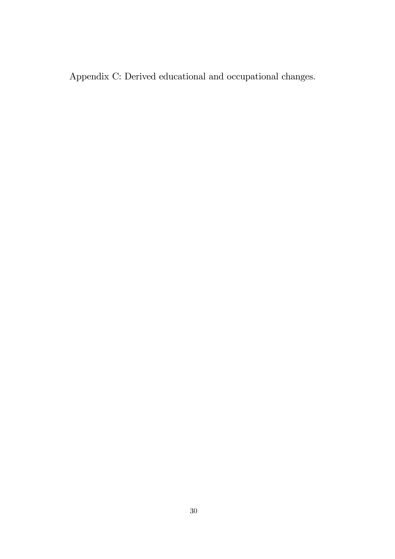Appendix C: Derived educational and occupational changes.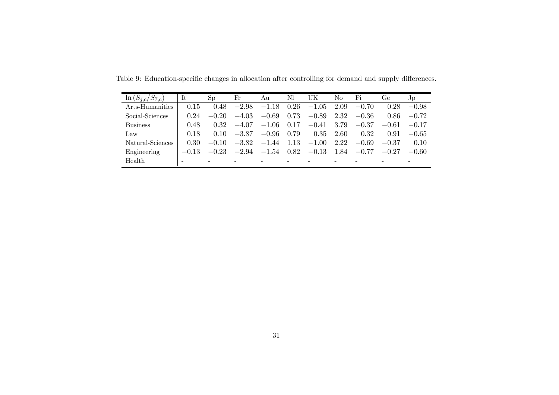| $\ln(\mathcal{S}_{i,c})$<br>$D7_{c}$ | It      | Sp      | $_{\rm Fr}$ | Аu      | Nl   | UK      | No   | Fi      | Ge      | $J_{\rm p}$ |
|--------------------------------------|---------|---------|-------------|---------|------|---------|------|---------|---------|-------------|
| Arts-Humanities                      | 0.15    | 0.48    | $-2.98$     | $-1.18$ | 0.26 | $-1.05$ | 2.09 | $-0.70$ | 0.28    | $-0.98$     |
| Social-Sciences                      | 0.24    | $-0.20$ | $-4.03$     | $-0.69$ | 0.73 | $-0.89$ | 2.32 | $-0.36$ | 0.86    | $-0.72$     |
| <b>Business</b>                      | 0.48    | 0.32    | $-4.07$     | $-1.06$ | 0.17 | $-0.41$ | 3.79 | $-0.37$ | $-0.61$ | $-0.17$     |
| Law                                  | 0.18    | 0.10    | $-3.87$     | $-0.96$ | 0.79 | 0.35    | 2.60 | 0.32    | 0.91    | $-0.65$     |
| Natural-Sciences                     | 0.30    | $-0.10$ | $-3.82$     | $-1.44$ | 1.13 | $-1.00$ | 2.22 | $-0.69$ | $-0.37$ | 0.10        |
| Engineering                          | $-0.13$ | $-0.23$ | $-2.94$     | $-1.54$ | 0.82 | $-0.13$ | 1.84 | $-0.77$ | $-0.27$ | $-0.60$     |
| Health                               |         |         |             |         |      |         |      |         |         |             |

Table 9: Education-specific changes in allocation after controlling for demand and supply differences.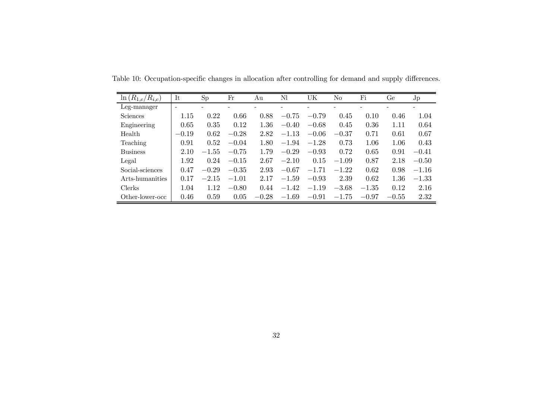| $\ln(R_{1,c}/R_{i,c})$ | It      | Sp      | Fr      | Аu      | Nl      | UK      | No      | Fi      | Ge      | Jp      |
|------------------------|---------|---------|---------|---------|---------|---------|---------|---------|---------|---------|
| Leg-manager            |         |         |         |         |         |         |         |         |         |         |
| <b>Sciences</b>        | 1.15    | 0.22    | 0.66    | 0.88    | $-0.75$ | $-0.79$ | 0.45    | 0.10    | 0.46    | 1.04    |
| Engineering            | 0.65    | 0.35    | 0.12    | 1.36    | $-0.40$ | $-0.68$ | 0.45    | 0.36    | 1.11    | 0.64    |
| Health                 | $-0.19$ | 0.62    | $-0.28$ | 2.82    | $-1.13$ | $-0.06$ | $-0.37$ | 0.71    | 0.61    | 0.67    |
| Teaching               | 0.91    | 0.52    | $-0.04$ | 1.80    | $-1.94$ | $-1.28$ | 0.73    | 1.06    | 1.06    | 0.43    |
| <b>Business</b>        | 2.10    | $-1.55$ | $-0.75$ | 1.79    | $-0.29$ | $-0.93$ | 0.72    | 0.65    | 0.91    | $-0.41$ |
| Legal                  | 1.92    | 0.24    | $-0.15$ | 2.67    | $-2.10$ | 0.15    | $-1.09$ | 0.87    | 2.18    | $-0.50$ |
| Social-sciences        | 0.47    | $-0.29$ | $-0.35$ | 2.93    | $-0.67$ | $-1.71$ | $-1.22$ | 0.62    | 0.98    | $-1.16$ |
| Arts-humanities        | 0.17    | $-2.15$ | $-1.01$ | 2.17    | $-1.59$ | $-0.93$ | 2.39    | 0.62    | 1.36    | $-1.33$ |
| <b>Clerks</b>          | 1.04    | 1.12    | $-0.80$ | 0.44    | $-1.42$ | $-1.19$ | $-3.68$ | $-1.35$ | 0.12    | 2.16    |
| Other-lower-occ        | 0.46    | 0.59    | 0.05    | $-0.28$ | $-1.69$ | $-0.91$ | $-1.75$ | $-0.97$ | $-0.55$ | 2.32    |

Table 10: Occupation-specific changes in allocation after controlling for demand and supply differences.